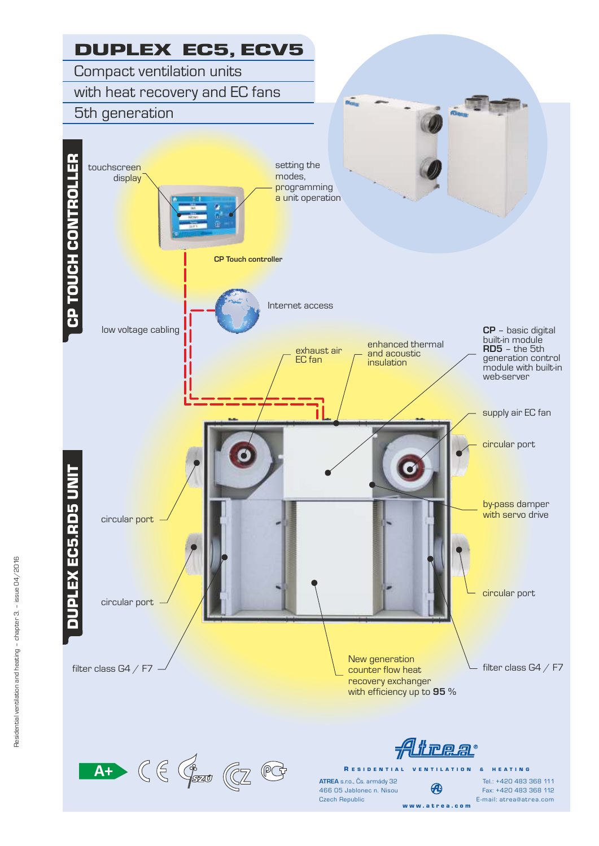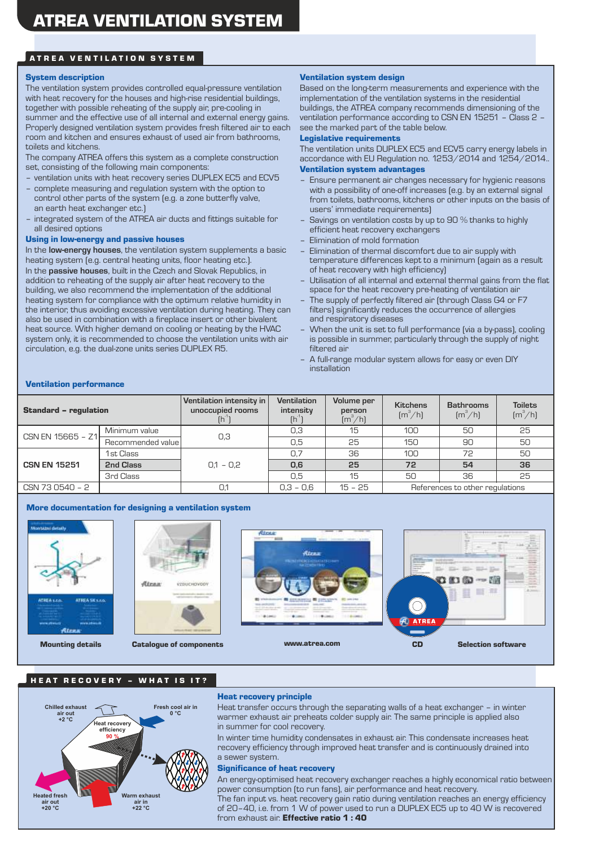# ATREA VENTILATION SYSTEM

#### System description

The ventilation system provides controlled equal-pressure ventilation with heat recovery for the houses and high-rise residential buildings, together with possible reheating of the supply air, pre-cooling in summer and the effective use of all internal and external energy gains. Properly designed ventilation system provides fresh filtered air to each room and kitchen and ensures exhaust of used air from bathrooms, toilets and kitchens.

The company ATREA offers this system as a complete construction set, consisting of the following main components:

- ventilation units with heat recovery series DUPLEX EC5 and ECV5
- complete measuring and regulation system with the option to control other parts of the system (e.g. a zone butterfly valve, an earth heat exchanger etc.)
- integrated system of the ATREA air ducts and fittings suitable for all desired options

#### Using in low-energy and passive houses

In the **low-energy houses**, the ventilation system supplements a basic heating system (e.g. central heating units, floor heating etc.). In the **passive houses**, built in the Czech and Slovak Republics, in addition to reheating of the supply air after heat recovery to the building, we also recommend the implementation of the additional heating system for compliance with the optimum relative humidity in the interior, thus avoiding excessive ventilation during heating. They can also be used in combination with a fireplace insert or other bivalent heat source. With higher demand on cooling or heating by the HVAC system only, it is recommended to choose the ventilation units with air circulation, e.g. the dual-zone units series DUPLEX R5.

#### Ventilation system design

Based on the long-term measurements and experience with the implementation of the ventilation systems in the residential buildings, the ATREA company recommends dimensioning of the ventilation performance according to CSN EN 15251 – Class 2 – see the marked part of the table below.

#### Legislative requirements

Ventilation system advantages The ventilation units DUPLEX EC5 and ECV5 carry energy labels in accordance with EU Regulation no. 1253/2014 and 1254/2014..

- Ensure permanent air changes necessary for hygienic reasons with a possibility of one-off increases (e.g. by an external signal from toilets, bathrooms, kitchens or other inputs on the basis of users' immediate requirements)
- Savings on ventilation costs by up to 90 % thanks to highly efficient heat recovery exchangers
- Elimination of mold formation
- Elimination of thermal discomfort due to air supply with temperature differences kept to a minimum (again as a result of heat recovery with high efficiency)
- Utilisation of all internal and external thermal gains from the flat space for the heat recovery pre-heating of ventilation air
- The supply of perfectly filtered air (through Class G4 or F7 filters) significantly reduces the occurrence of allergies and respiratory diseases
- When the unit is set to full performance (via a by-pass), cooling is possible in summer, particularly through the supply of night filtered air
- A full-range modular system allows for easy or even DIY installation

#### Ventilation performance

| <b>Standard - regulation</b> |                   | Ventilation intensity in<br>unoccupied rooms | <b>Ventilation</b><br>intensity<br>$[h^{\eta}]$ | Volume per<br>person<br>$\left[\frac{m^3}{h}\right]$ | <b>Kitchens</b><br>$\left[\frac{m^3}{h}\right]$ | <b>Bathrooms</b><br>$\left[\frac{m^3}{h}\right]$ | <b>Toilets</b><br>$\left[\frac{m^3}{h}\right]$ |
|------------------------------|-------------------|----------------------------------------------|-------------------------------------------------|------------------------------------------------------|-------------------------------------------------|--------------------------------------------------|------------------------------------------------|
| $CSN EN 15665 - Z1$          | Minimum value     | 0,3                                          | 0,3                                             | 15                                                   | 100                                             | 50                                               | 25                                             |
|                              | Recommended value |                                              | 0,5                                             | 25                                                   | 150                                             | 90                                               | 50                                             |
| 1st Class                    |                   |                                              | 0,7                                             | 36                                                   | 100                                             | 72                                               | 50                                             |
| <b>CSN EN 15251</b>          | 2nd Class         | $0.1 - 0.2$                                  | 0,6                                             | 25                                                   | 72                                              | 54                                               | 36                                             |
|                              | 3rd Class         |                                              | 0,5                                             | 15                                                   | 50                                              | 36                                               | 25                                             |
| CSN 73 0540 - 2              |                   | 0,1                                          | $0.3 - 0.6$                                     | $15 - 25$                                            | References to other regulations                 |                                                  |                                                |

#### More documentation for designing a ventilation system



### HEAT RECOVERY - WHAT IS IT?

#### **Warm exhaust air in +22 °C Heated fresh air out +20 °C Chilled exhaust air out +2 °C Fresh cool air in 0 °C Heat recovery efficiency 90 %**

#### Heat recovery principle

Heat transfer occurs through the separating walls of a heat exchanger – in winter warmer exhaust air preheats colder supply air. The same principle is applied also in summer for cool recovery.

In winter time humidity condensates in exhaust air. This condensate increases heat recovery efficiency through improved heat transfer and is continuously drained into a sewer system.

#### Significance of heat recovery

The fan input vs. heat recovery gain ratio during ventilation reaches an energy efficiency of 20–40, i.e. from 1 W of power used to run a DUPLEX EC5 up to 40 W is recovered from exhaust air. **Effective ratio 1 : 40** An energy-optimised heat recovery exchanger reaches a highly economical ratio between power consumption (to run fans), air performance and heat recovery.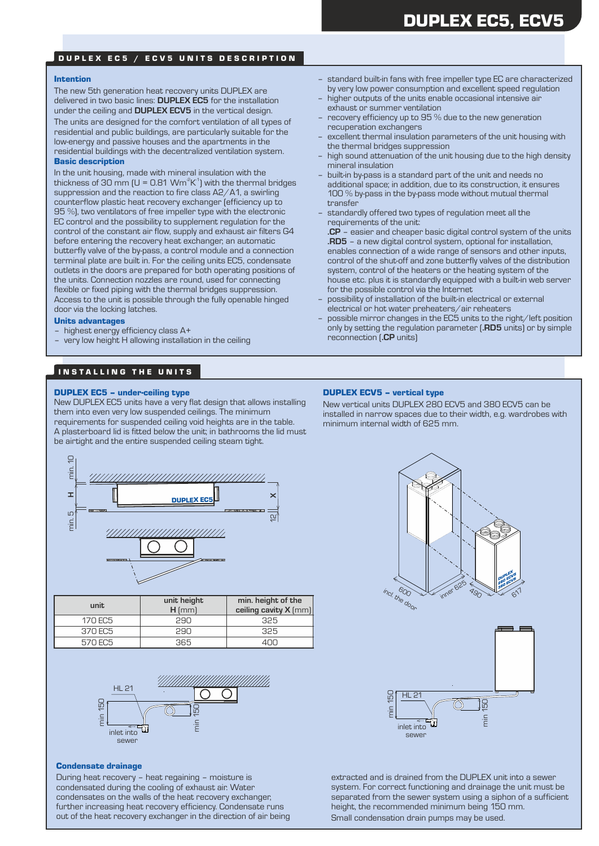# DUPLEX EC5, ECV5

### DUPLEX EC5 / ECV5 UNITS DESCRIPTION

#### Intention

Basic description The new 5th generation heat recovery units DUPLEX are delivered in two basic lines: **DUPLEX EC5** for the installation under the ceiling and **DUPLEX ECV5** in the vertical design. The units are designed for the comfort ventilation of all types of residential and public buildings, are particularly suitable for the low-energy and passive houses and the apartments in the residential buildings with the decentralized ventilation system.

In the unit housing, made with mineral insulation with the thickness of 30 mm (U = 0.81 Wm<sup>2</sup>K<sup>-1</sup>) with the thermal bridges suppression and the reaction to fire class A2/A1, a swirling counterflow plastic heat recovery exchanger (efficiency up to 95 %), two ventilators of free impeller type with the electronic EC control and the possibility to supplement regulation for the control of the constant air flow, supply and exhaust air filters G4 before entering the recovery heat exchanger, an automatic butterfly valve of the by-pass, a control module and a connection terminal plate are built in. For the ceiling units EC5, condensate outlets in the doors are prepared for both operating positions of the units. Connection nozzles are round, used for connecting flexible or fixed piping with the thermal bridges suppression. Access to the unit is possible through the fully openable hinged door via the locking latches.

#### Units advantages

- highest energy efficiency class A+
- very low height H allowing installation in the ceiling

# IN STALLING THE UNITS

## DUPLEX EC5 – under-ceiling type

New DUPLEX EC5 units have a very flat design that allows installing them into even very low suspended ceilings. The minimum requirements for suspended ceiling void heights are in the table. A plasterboard lid is fitted below the unit; in bathrooms the lid must be airtight and the entire suspended ceiling steam tight.



| unit    | unit height<br>$H$ (mm) | min. height of the<br>ceiling cavity X (mm) |
|---------|-------------------------|---------------------------------------------|
| 170 EC5 | 290                     | 325                                         |
| 370 EC5 | 290                     | 325                                         |
| 570 EC5 | 365                     |                                             |



#### Condensate drainage

During heat recovery – heat regaining – moisture is condensated during the cooling of exhaust air. Water condensates on the walls of the heat recovery exchanger, further increasing heat recovery efficiency. Condensate runs out of the heat recovery exchanger in the direction of air being

- standard built-in fans with free impeller type EC are characterized by very low power consumption and excellent speed regulation
- higher outputs of the units enable occasional intensive air exhaust or summer ventilation
- recovery efficiency up to 95 % due to the new generation recuperation exchangers
- excellent thermal insulation parameters of the unit housing with the thermal bridges suppression
- high sound attenuation of the unit housing due to the high density mineral insulation
- built-in by-pass is a standard part of the unit and needs no additional space; in addition, due to its construction, it ensures 100 % by-pass in the by-pass mode without mutual thermal transfer
- standardly offered two types of regulation meet all the requirements of the unit:

**.CP** – easier and cheaper basic digital control system of the units **.RD5** – a new digital control system, optional for installation, enables connection of a wide range of sensors and other inputs, control of the shut-off and zone butterfly valves of the distribution system, control of the heaters or the heating system of the house etc. plus it is standardly equipped with a built-in web server for the possible control via the Internet

- possibility of installation of the built-in electrical or external electrical or hot water preheaters/air reheaters
- possible mirror changes in the EC5 units to the right/left position only by setting the regulation parameter (**.RD5** units) or by simple reconnection (**.CP** units)

## DUPLEX ECV5 – vertical type

New vertical units DUPLEX 280 ECV5 and 380 ECV5 can be installed in narrow spaces due to their width, e.g. wardrobes with minimum internal width of 625 mm.





extracted and is drained from the DUPLEX unit into a sewer system. For correct functioning and drainage the unit must be separated from the sewer system using a siphon of a sufficient height, the recommended minimum being 150 mm. Small condensation drain pumps may be used.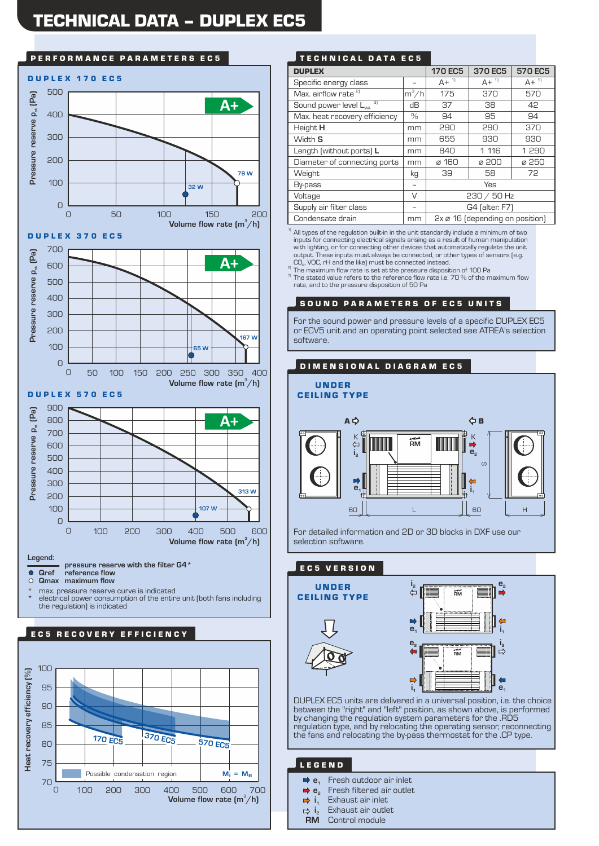# TECHNICAL DATA – DUPLEX EC5



\* electrical power consumption of the entire unit (both fans including \* max. pressure reserve curve is indicated the regulation) is indicated





| <b>DUPLEX</b>                           |         | <b>170 EC5</b>                              | 370 EC5      | 570 EC5            |  |
|-----------------------------------------|---------|---------------------------------------------|--------------|--------------------|--|
| Specific energy class                   |         | $A +$ <sup>1</sup>                          | $A + {}^{1}$ | $A +$ <sup>1</sup> |  |
| Max. airflow rate <sup>2)</sup>         | $m^3/h$ | 175                                         | 370          | 570                |  |
| 3)<br>Sound power level L <sub>wa</sub> | dВ      | 37                                          | 38           | 42                 |  |
| Max. heat recovery efficiency           | $\%$    | 94                                          | 95           | 94                 |  |
| Height H                                | mm      | 290                                         | 290          | 370                |  |
| Width S                                 | mm      | 655                                         | 930          | 930                |  |
| Length (without ports) L                | mm      | 840                                         | 1 116        | 1 290              |  |
| Diameter of connecting ports            | mm      | ø 160                                       | ø 200        | ø 250              |  |
| Weight                                  | kg      | 39                                          | 58           | 72                 |  |
| By-pass                                 |         |                                             | Yes          |                    |  |
| Voltage                                 | $\vee$  | $230 / 50$ Hz                               |              |                    |  |
| Supply air filter class                 |         | G4 (alter. F7)                              |              |                    |  |
| Condensate drain                        | mm      | $2x \varnothing$ 16 (depending on position) |              |                    |  |

<sup>1)</sup> All types of the regulation built-in in the unit standardly include a minimum of two inputs for connecting electrical signals arising as a result of human manipulation with lighting, or for connecting other devices that automatically regulate the unit output. These inputs must always be connected, or other types of sensors (e.g.<br>CO<sub>2</sub>, VOC, rH and the like) must be connected instead.

<sup>2)</sup> The maximum flow rate is set at the pressure disposition of 100 Pa

The stated value refers to the reference flow rate i.e. 70 % of the maximum flow rate, and to the pressure disposition of 50 Pa

#### SOUND PARAMETERS OF EC5 UNITS

For the sound power and pressure levels of a specific DUPLEX EC5 or ECV5 unit and an operating point selected see ATREA's selection software.

### DIMENSIONAL DIAGRAM EC5



500 For detailed information and 2D or 3D blocks in DXF use our selection software.

# E C 5 V E R S I O N

UNDER CEILING TYPE





DUPLEX EC5 units are delivered in a universal position, i.e. the choice between the "right" and "left" position, as shown above, is performed by changing the regulation system parameters for the .RD5 regulation type, and by relocating the operating sensor, reconnecting the fans and relocating the by-pass thermostat for the .CP type.

## L E G E N D

- **e**<sub>1</sub> Fresh outdoor air inlet<br>**2 e**<sub>2</sub> Fresh filtered air outlet
- **e** Fresh filtered air outlet **<sup>2</sup>**
- $\Rightarrow$ **i**<sub>1</sub> Exhaust air inlet
- $\Rightarrow$  **i**<sub>2</sub> Exhaust air outlet<br>**RM** Control module
- **Control module**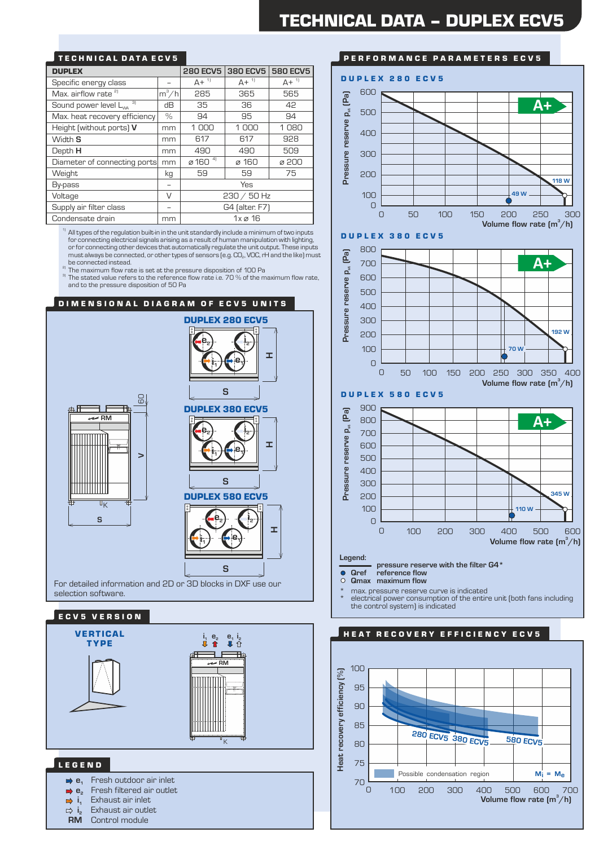# TECHNICAL DATA ECV5

| <b>DUPLEX</b>                           |         | <b>280 ECV5</b>                 | 380 ECV5            | <b>580 ECV5</b> |
|-----------------------------------------|---------|---------------------------------|---------------------|-----------------|
| Specific energy class                   |         | $A +$ <sup>1]</sup>             | $A +$ <sup>1</sup>  | $A + {}^{1}$    |
| Max. airflow rate <sup>2)</sup>         | $m^3/h$ | 285                             | 365                 | 565             |
| 3)<br>Sound power level L <sub>wa</sub> | dВ      | 35                              | 36                  | 42              |
| Max. heat recovery efficiency           | $\%$    | 94                              | 95                  | 94              |
| Height (without ports) V                | mm      | 1000                            | 1000                | 1080            |
| Width S                                 | mm      | 617                             | 617                 | 928             |
| Depth H                                 | mm      | 490                             | 490                 | 509             |
| Diameter of connecting ports            | mm      | $\varnothing$ 160 $\frac{4}{1}$ | ø 160               | ø 200           |
| Weight                                  | kg      | 59                              | 59                  | 75              |
| By-pass                                 |         |                                 | Yes                 |                 |
| V<br>Voltage                            |         | $230 / 50$ Hz                   |                     |                 |
| Supply air filter class                 |         |                                 | G4 (alter. F7)      |                 |
| Condensate drain                        | mm      |                                 | $1x \varnothing 16$ |                 |

 $1)$  All types of the regulation built-in in the unit standardly include a minimum of two inputs for connecting electrical signals arising as a result of human manipulation with lighting, or for connecting other devices that automatically regulate the unit output. These inputs must always be connected, or other types of sensors (e.g.  $CO<sub>2</sub>$ , VOC, rH and the like) must be connected instead.

<sup>2)</sup> The maximum flow rate is set at the pressure disposition of 100 Pa

 $3$  The stated value refers to the reference flow rate i.e. 70 % of the maximum flow rate, and to the pressure disposition of 50 Pa





# PERFORMANCE PARAMETERS ECV5



\* electrical power consumption of the entire unit (both fans including the control system) is indicated

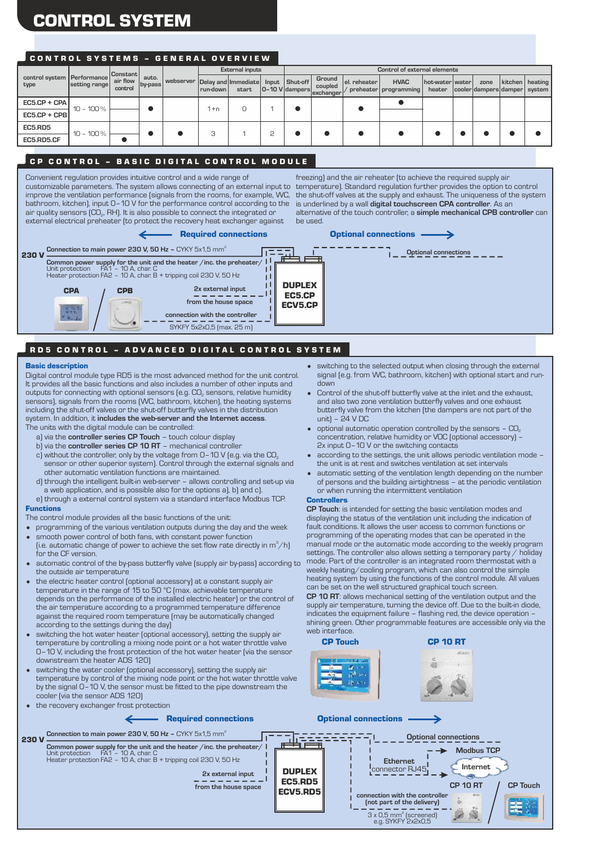# CONTROL SYSTEM

# CONTROL SYSTEMS - GENERAL OVERVIEW

| control system Performance |                                               |          | <b>External inputs</b> |                    |  | Control of external elements      |                   |                |                                                                                                                                                                       |        |                         |                 |                               |
|----------------------------|-----------------------------------------------|----------|------------------------|--------------------|--|-----------------------------------|-------------------|----------------|-----------------------------------------------------------------------------------------------------------------------------------------------------------------------|--------|-------------------------|-----------------|-------------------------------|
| air flow<br>control        | auto.                                         |          |                        | start              |  |                                   | Ground<br>coupled |                | <b>HVAC</b>                                                                                                                                                           | heater |                         | zone            | kitchen   heating             |
|                            |                                               |          |                        |                    |  |                                   |                   |                |                                                                                                                                                                       |        |                         |                 |                               |
|                            |                                               |          |                        |                    |  |                                   |                   |                |                                                                                                                                                                       |        |                         |                 |                               |
|                            |                                               |          |                        |                    |  |                                   |                   |                |                                                                                                                                                                       |        |                         |                 |                               |
|                            |                                               |          |                        |                    |  |                                   |                   |                |                                                                                                                                                                       |        |                         |                 |                               |
|                            | setting range<br>$10 - 100\%$<br>$10 - 100\%$ | Constant | by-pass                | l run-down<br>l +n |  | webserver   Delay and   Immediate |                   | Input Shut-off | el. reheater<br>$\begin{array}{ c c c c c }\n\hline\n & \text{0--10 V} \end{array}$ dampers $\begin{array}{ c c c c }\n\hline\n\text{exchange} & \hline\n\end{array}$ |        | preheater   programming | hot-water water | cooler dampers damper  system |

# CP CONTROL - BASIC DIGITAL CONTROL MODULE

Convenient regulation provides intuitive control and a wide range of customizable parameters. The system allows connecting of an external input to improve the ventilation performance (signals from the rooms, for example, WC, the shut-off valves at the supply and exhaust. The uniqueness of the system bathroom, kitchen), input 0–10 V for the performance control according to the air quality sensors (CO<sub>2</sub>, RH). It is also possible to connect the integrated or external electrical preheater (to protect the recovery heat exchanger against

freezing) and the air reheater (to achieve the required supply air temperature). Standard regulation further provides the option to control is underlined by a wall **digital touchscreen CPA controller**. As an alternative of the touch controller, a **simple mechanical CPB controller** can be used.



# RD5 CONTROL - ADVANCED DIGITAL CONTROL SYSTEM

#### Basic description

230 V

Digital control module type RD5 is the most advanced method for the unit control. It provides all the basic functions and also includes a number of other inputs and outputs for connecting with optional sensors (e.g.  $\mathsf{CO}_{\scriptscriptstyle{2}}$  sensors, relative humidity sensors), signals from the rooms (WC, bathroom, kitchen), the heating systems including the shut-off valves or the shut-off butterfly valves in the distribution system. In addition, it **includes the web-server and the Internet access**. The units with the digital module can be controlled:

- 
- a) via the **controller series CP Touch** touch colour display b) via the **controller series CP 10 RT** – mechanical controller
- 
- c) without the controller, only by the voltage from  $0-10$  V (e.g. via the  $CO<sub>2</sub>$ sensor or other superior system). Control through the external signals and other automatic ventilation functions are maintained.
- d) through the intelligent built-in web-server allows controlling and set-up via a web application, and is possible also for the options a), b) and c).
- Functions e) through a external control system via a standard interface Modbus TCP.

The control module provides all the basic functions of the unit:

- programming of the various ventilation outputs during the day and the week
- smooth power control of both fans, with constant power function
- (i.e. automatic change of power to achieve the set flow rate directly in  $\mathsf{m}^3\!/ \mathsf{h}$ ) for the CF version.
- automatic control of the by-pass butterfly valve (supply air by-pass) according to the outside air temperature
- the electric heater control (optional accessory) at a constant supply air temperature in the range of 15 to 50 °C (max. achievable temperature depends on the performance of the installed electric heater) or the control of the air temperature according to a programmed temperature difference against the required room temperature (may be automatically changed according to the settings during the day)
- switching the hot water heater (optional accessory), setting the supply air temperature by controlling a mixing node point or a hot water throttle valve 0–10 V, including the frost protection of the hot water heater (via the sensor downstream the heater ADS 120)
- the recovery exchanger frost protection • switching the water cooler (optional accessory), setting the supply air temperature by control of the mixing node point or the hot water throttle valve by the signal 0–10 V, the sensor must be fitted to the pipe downstream the cooler (via the sensor ADS 120)

- switching to the selected output when closing through the external signal (e.g. from WC, bathroom, kitchen) with optional start and rundown
- Control of the shut-off butterfly valve at the inlet and the exhaust, and also two zone ventilation butterfly valves and one exhaust butterfly valve from the kitchen (the dampers are not part of the unit) – 24 V DC
- optional automatic operation controlled by the sensors  $-$  CO<sub>2</sub> concentration, relative humidity or VOC (optional accessory) – 2x input 0–10 V or the switching contacts
- according to the settings, the unit allows periodic ventilation mode the unit is at rest and switches ventilation at set intervals
- automatic setting of the ventilation length depending on the number of persons and the building airtightness – at the periodic ventilation or when running the intermittent ventilation

#### **Controllers**

**CP Touch**: is intended for setting the basic ventilation modes and displaying the status of the ventilation unit including the indication of fault conditions. It allows the user access to common functions or programming of the operating modes that can be operated in the manual mode or the automatic mode according to the weekly program settings. The controller also allows setting a temporary party / holiday mode. Part of the controller is an integrated room thermostat with a weekly heating/cooling program, which can also control the simple heating system by using the functions of the control module. All values can be set on the well structured graphical touch screen. **CP 10 RT**: allows mechanical setting of the ventilation output and the supply air temperature, turning the device off. Due to the built-in diode, indicates the equipment failure – flashing red, the device operation –

shining green. Other programmable features are accessible only via the web interface CP Touch CP 10 RT



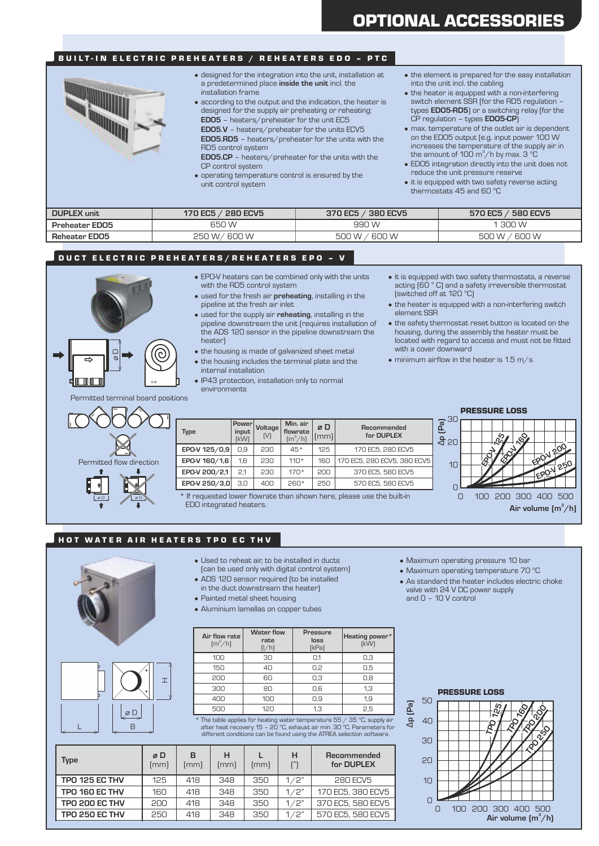# BUILT-IN ELECTRIC PREHEATERS / REHEATERS EDO - PTC



- designed for the integration into the unit, installation at a predetermined place **inside the unit** incl. the installation frame
- **EDO5** heaters/preheater for the unit EC5 • according to the output and the indication, the heater is designed for the supply air preheating or reheating:
- **EDO5.RD5** heaters/preheater for the units with the **EDO5.V** – heaters/preheater for the units ECV5
- RD5 control system **EDO5.CP** – heaters/preheater for the units with the
- CP control system
- operating temperature control is ensured by the unit control system • it is equipped with two safety reverse acting
- the element is prepared for the easy installation into the unit incl. the cabling
- the heater is equipped with a non-interfering switch element SSR (for the RD5 regulation – types **EDO5-RD5**) or a switching relay (for the CP regulation – types **EDO5-CP**)
- max. temperature of the outlet air is dependent on the EDO5 output (e.g. input power 100 W increases the temperature of the supply air in the amount of 100 m $^3$ /h by max. 3  $^{\circ}$ C
- EDO5 integration directly into the unit does not
	- thermostats 45 and 60 °C

| <b>DUPLEX unit</b>    | 280 ECV5<br>170 EC5 | / 380 ECV5<br>370 EC5 | <b>580 ECV5</b><br>570 EC5 |
|-----------------------|---------------------|-----------------------|----------------------------|
| <b>Preheater EDO5</b> | 650 W               | 990 W                 | 300 W                      |
| <b>Reheater EDO5</b>  | 600 W<br>250<br>۱W. | 600 W<br>. W          | 600 W<br>1 VV              |

## DUCT ELECTRIC PREHEATERS/REHEATERS EPO - V

- EPO-V heaters can be combined only with the units with the RD5 control system
- used for the fresh air **preheating**, installing in the pipeline at the fresh air inlet
- used for the supply air **reheating**, installing in the pipeline downstream the unit (requires installation of the ADS 120 sensor in the pipeline downstream the heater)
- the housing is made of galvanized sheet metal
- the housing includes the terminal plate and the
- internal installation • IP43 protection, installation only to normal
- environments
- it is equipped with two safety thermostats, a reverse acting (60 ° C) and a safety irreversible thermostat (switched off at 120 °C)
- the heater is equipped with a non-interfering switch element SSR
- the safety thermostat reset button is located on the housing, during the assembly the heater must be located with regard to access and must not be fitted with a cover downward
- $\bullet$  minimum airflow in the heater is 1.5 m/s

Permitted terminal board positions

 $\alpha$ 



| <b>Type</b>   | Power <sup>1</sup><br>input<br>[kW] | Voltage <sup>)</sup><br>[V] | Min. air<br>flowrate<br>$\text{[m}^3/\text{h}\text{]}$ | øD<br>[mm] | Recommended<br>for DUPLEX   |
|---------------|-------------------------------------|-----------------------------|--------------------------------------------------------|------------|-----------------------------|
| EPO-V 125/0,9 | 0.9                                 | 230                         | $45*$                                                  | 125        | 170 EC5, 280 ECV5           |
| EPO-V 160/1,6 | 1.6                                 | 230                         | $110*$                                                 | 160        | 170 EC5, 280 ECV5, 380 ECV5 |
| EPO-V 200/2,1 | 2.1                                 | 230                         | $170*$                                                 | 200        | 370 EC5, 580 ECV5           |
| EPO-V 250/3,0 | 3.0                                 | 400                         | $260*$                                                 | 250        | 570 EC5, 580 ECV5           |

If requested lower flowrate than shown here, please use the built-in EDO integrated heaters.

PRESSURE LOSS



### HOT WATER AIR HEATERS TPO EC THV

- H D L B
- Used to reheat air, to be installed in ducts
- (can be used only with digital control system)
- ADS 120 sensor required (to be installed in the duct downstream the heater)
- Painted metal sheet housing
- Aluminium lamellas on copper tubes
- **Air flow rate**  $\rm [m^3/h]$ **Water flow rate** (l/h) (kPa) **loss Pressure Heating power** (kW) 100 30 0,1 0,3 150 40 0,2 0,5 200 60 0,3 0,8 300 80 0,6 1,3 400 100 0,9 1,9 500 120 1,3 2,5

500 120 1,3 2,5 **a.**<br>
\* The table applies for heating water temperature 55 / 35 °C, supply air<br>
after heat recovery 15 - 20 °C, exhaust air min. 30 °C. Parameters for  $\overrightarrow{A}$  40<br>
different conditions can be found using t

| Type                  | øD<br>(mm) | в<br>(mm) | н<br>(mm) | (mm) | н<br>f''' | Recommended<br>for DUPLEX |
|-----------------------|------------|-----------|-----------|------|-----------|---------------------------|
| TPO 125 EC THV        | 125        | 418       | 348       | 350  | 1/2"      | <b>280 ECV5</b>           |
| TPO 160 EC THV        | 160        | 418       | 348       | 350  | 1/2"      | 170 EC5, 380 ECV5         |
| <b>TPO 200 EC THV</b> | 200        | 418       | 348       | 350  | 1/2"      | 370 EC5, 580 ECV5         |
| <b>TPO 250 EC THV</b> | 250        | 418       | 348       | 350  | 1/2"      | 570 EC5, 580 ECV5         |

- Maximum operating pressure 10 bar
- Maximum operating temperature 70 °C
- As standard the heater includes electric choke valve with 24 V DC power supply and 0 – 10 V control